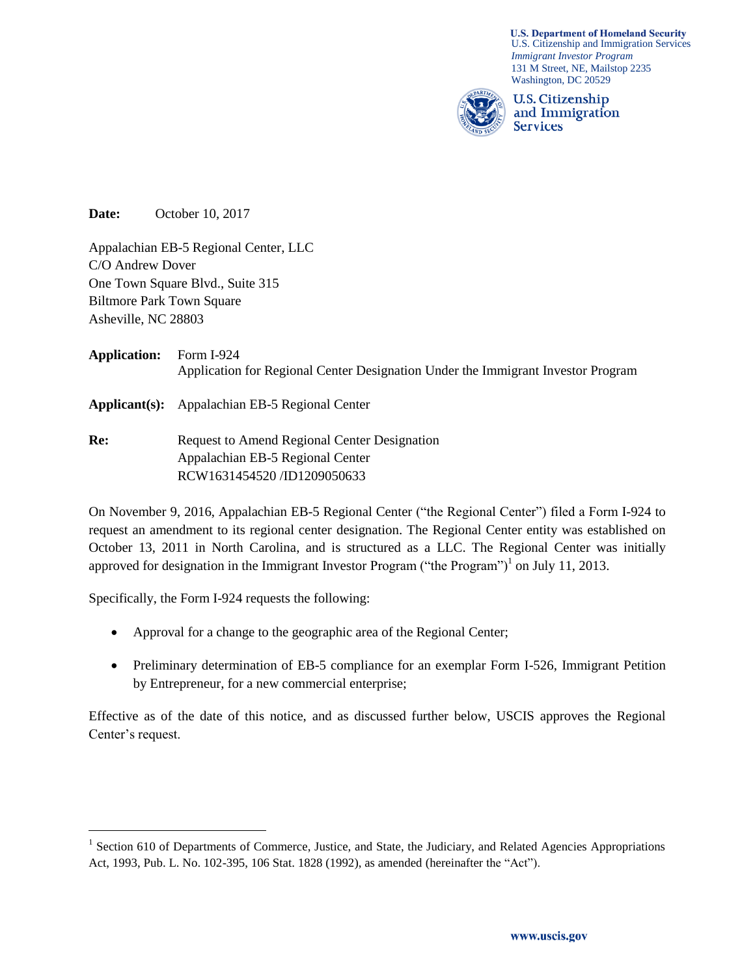

**U.S. Department of Homeland Security** U.S. Citizenship and Immigration Services *Immigrant Investor Program* 131 M Street, NE, Mailstop 2235 Washington, DC 20529

**U.S. Citizenship** and Immigration **Services** 

**Date:** October 10, 2017

Appalachian EB-5 Regional Center, LLC C/O Andrew Dover One Town Square Blvd., Suite 315 Biltmore Park Town Square Asheville, NC 28803

| <b>Application:</b> | Form $I-924$<br>Application for Regional Center Designation Under the Immigrant Investor Program |
|---------------------|--------------------------------------------------------------------------------------------------|
|                     | <b>Applicant(s):</b> Appalachian EB-5 Regional Center                                            |

**Re:** Request to Amend Regional Center Designation Appalachian EB-5 Regional Center RCW1631454520 /ID1209050633

On November 9, 2016, Appalachian EB-5 Regional Center ("the Regional Center") filed a Form I-924 to request an amendment to its regional center designation. The Regional Center entity was established on October 13, 2011 in North Carolina, and is structured as a LLC. The Regional Center was initially approved for designation in the Immigrant Investor Program ("the Program")<sup>1</sup> on July 11, 2013.

Specifically, the Form I-924 requests the following:

l

- Approval for a change to the geographic area of the Regional Center;
- Preliminary determination of EB-5 compliance for an exemplar Form I-526, Immigrant Petition by Entrepreneur, for a new commercial enterprise;

Effective as of the date of this notice, and as discussed further below, USCIS approves the Regional Center's request.

<sup>&</sup>lt;sup>1</sup> Section 610 of Departments of Commerce, Justice, and State, the Judiciary, and Related Agencies Appropriations Act, 1993, Pub. L. No. 102-395, 106 Stat. 1828 (1992), as amended (hereinafter the "Act").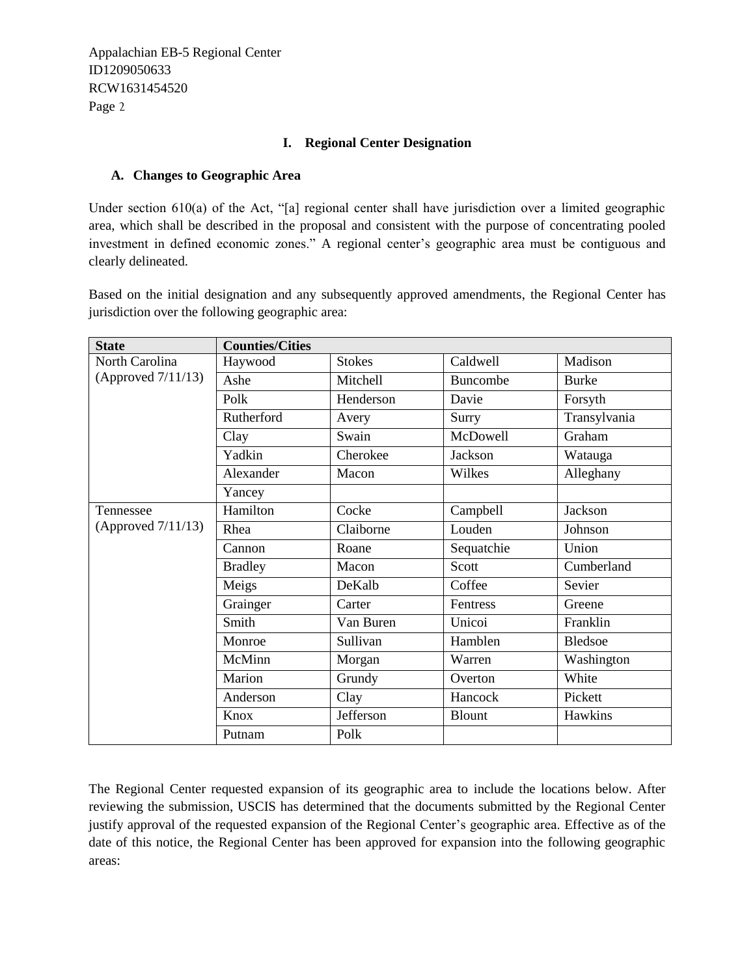Appalachian EB-5 Regional Center ID1209050633 RCW1631454520 Page 2

## **I. Regional Center Designation**

## **A. Changes to Geographic Area**

Under section 610(a) of the Act, "[a] regional center shall have jurisdiction over a limited geographic area, which shall be described in the proposal and consistent with the purpose of concentrating pooled investment in defined economic zones." A regional center's geographic area must be contiguous and clearly delineated.

Based on the initial designation and any subsequently approved amendments, the Regional Center has jurisdiction over the following geographic area:

| <b>State</b>       | <b>Counties/Cities</b> |               |               |                |
|--------------------|------------------------|---------------|---------------|----------------|
| North Carolina     | Haywood                | <b>Stokes</b> | Caldwell      | Madison        |
| (Approved 7/11/13) | Ashe                   | Mitchell      | Buncombe      | <b>Burke</b>   |
|                    | Polk                   | Henderson     | Davie         | Forsyth        |
|                    | Rutherford             | Avery         | Surry         | Transylvania   |
|                    | Clay                   | Swain         | McDowell      | Graham         |
|                    | Yadkin                 | Cherokee      | Jackson       | Watauga        |
|                    | Alexander              | Macon         | Wilkes        | Alleghany      |
|                    | Yancey                 |               |               |                |
| Tennessee          | Hamilton               | Cocke         | Campbell      | Jackson        |
| (Approved 7/11/13) | Rhea                   | Claiborne     | Louden        | Johnson        |
|                    | Cannon                 | Roane         | Sequatchie    | Union          |
|                    | <b>Bradley</b>         | Macon         | Scott         | Cumberland     |
|                    | Meigs                  | DeKalb        | Coffee        | Sevier         |
|                    | Grainger               | Carter        | Fentress      | Greene         |
|                    | Smith                  | Van Buren     | Unicoi        | Franklin       |
|                    | Monroe                 | Sullivan      | Hamblen       | <b>Bledsoe</b> |
|                    | McMinn                 | Morgan        | Warren        | Washington     |
|                    | Marion                 | Grundy        | Overton       | White          |
|                    | Anderson               | Clay          | Hancock       | Pickett        |
|                    | Knox                   | Jefferson     | <b>Blount</b> | Hawkins        |
|                    | Putnam                 | Polk          |               |                |

The Regional Center requested expansion of its geographic area to include the locations below. After reviewing the submission, USCIS has determined that the documents submitted by the Regional Center justify approval of the requested expansion of the Regional Center's geographic area. Effective as of the date of this notice, the Regional Center has been approved for expansion into the following geographic areas: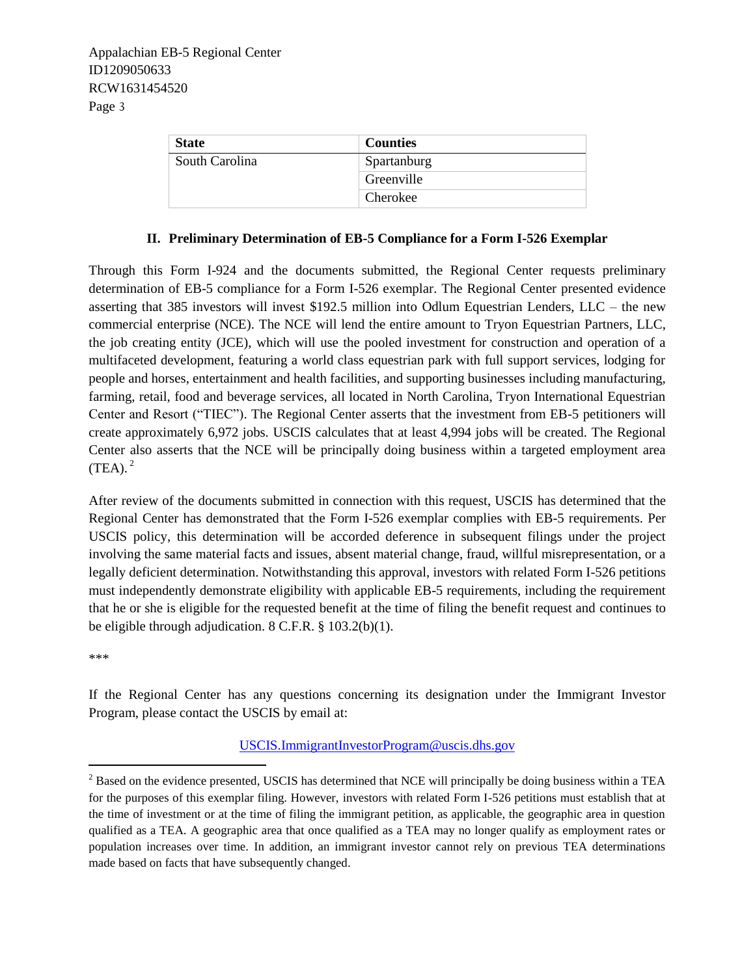| <b>State</b>   | <b>Counties</b> |
|----------------|-----------------|
| South Carolina | Spartanburg     |
|                | Greenville      |
|                | Cherokee        |

## **II. Preliminary Determination of EB-5 Compliance for a Form I-526 Exemplar**

Through this Form I-924 and the documents submitted, the Regional Center requests preliminary determination of EB-5 compliance for a Form I-526 exemplar. The Regional Center presented evidence asserting that 385 investors will invest \$192.5 million into Odlum Equestrian Lenders, LLC – the new commercial enterprise (NCE). The NCE will lend the entire amount to Tryon Equestrian Partners, LLC, the job creating entity (JCE), which will use the pooled investment for construction and operation of a multifaceted development, featuring a world class equestrian park with full support services, lodging for people and horses, entertainment and health facilities, and supporting businesses including manufacturing, farming, retail, food and beverage services, all located in North Carolina, Tryon International Equestrian Center and Resort ("TIEC"). The Regional Center asserts that the investment from EB-5 petitioners will create approximately 6,972 jobs. USCIS calculates that at least 4,994 jobs will be created. The Regional Center also asserts that the NCE will be principally doing business within a targeted employment area  $(TEA).<sup>2</sup>$ 

After review of the documents submitted in connection with this request, USCIS has determined that the Regional Center has demonstrated that the Form I-526 exemplar complies with EB-5 requirements. Per USCIS policy, this determination will be accorded deference in subsequent filings under the project involving the same material facts and issues, absent material change, fraud, willful misrepresentation, or a legally deficient determination. Notwithstanding this approval, investors with related Form I-526 petitions must independently demonstrate eligibility with applicable EB-5 requirements, including the requirement that he or she is eligible for the requested benefit at the time of filing the benefit request and continues to be eligible through adjudication. 8 C.F.R. § 103.2(b)(1).

\*\*\*

 $\overline{\phantom{a}}$ 

If the Regional Center has any questions concerning its designation under the Immigrant Investor Program, please contact the USCIS by email at:

## [USCIS.ImmigrantInvestorProgram@uscis.dhs.gov](mailto:USCIS.ImmigrantInvestorProgram@dhs.gov)

<sup>&</sup>lt;sup>2</sup> Based on the evidence presented, USCIS has determined that NCE will principally be doing business within a TEA for the purposes of this exemplar filing. However, investors with related Form I-526 petitions must establish that at the time of investment or at the time of filing the immigrant petition, as applicable, the geographic area in question qualified as a TEA. A geographic area that once qualified as a TEA may no longer qualify as employment rates or population increases over time. In addition, an immigrant investor cannot rely on previous TEA determinations made based on facts that have subsequently changed.